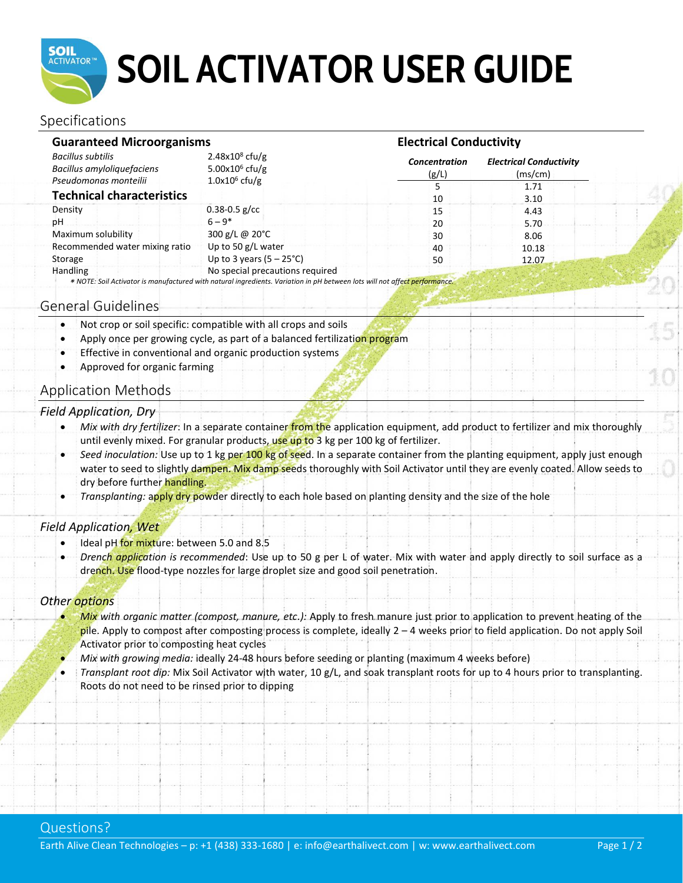

## **SOIL ACTIVATOR USER GUIDE**

## Specifications

| <b>Guaranteed Microorganisms</b>                                                |                                                                                                                                                               |                               | <b>Electrical Conductivity</b>            |  |  |
|---------------------------------------------------------------------------------|---------------------------------------------------------------------------------------------------------------------------------------------------------------|-------------------------------|-------------------------------------------|--|--|
| <b>Bacillus subtilis</b><br>Bacillus amyloliquefaciens<br>Pseudomonas monteilii | $2.48x108$ cfu/g<br>5.00 $x10^6$ cfu/g                                                                                                                        | <b>Concentration</b><br>(g/L) | <b>Electrical Conductivity</b><br>(ms/cm) |  |  |
|                                                                                 | $1.0x106$ cfu/g                                                                                                                                               |                               | 1.71                                      |  |  |
| <b>Technical characteristics</b>                                                |                                                                                                                                                               | 10                            | 3.10                                      |  |  |
| Density                                                                         | $0.38 - 0.5$ g/cc                                                                                                                                             | 15                            | 4.43                                      |  |  |
| рH                                                                              | $6 - 9*$                                                                                                                                                      | 20                            | 5.70                                      |  |  |
| Maximum solubility                                                              | 300 g/L @ $20^{\circ}$ C                                                                                                                                      | 30                            | 8.06                                      |  |  |
| Recommended water mixing ratio                                                  | Up to 50 g/L water                                                                                                                                            | 40                            | 10.18                                     |  |  |
| Storage                                                                         | Up to 3 years $(5 - 25^{\circ}C)$                                                                                                                             | 50                            | 12.07                                     |  |  |
| Handling                                                                        | No special precautions required<br>* NOTE: Soil Activator is manufactured with natural ingredients. Variation in pH between lots will not affect performance. |                               |                                           |  |  |

### General Guidelines

- Not crop or soil specific: compatible with all crops and soils
- Apply once per growing cycle, as part of a balanced fertilization program
- Effective in conventional and organic production systems
- Approved for organic farming

## Application Methods

#### *Field Application, Dry*

- Mix with dry fertilizer: In a separate container from the application equipment, add product to fertilizer and mix thoroughly until evenly mixed. For granular products, use up to 3 kg per 100 kg of fertilizer.
- *Seed inoculation:* Use up to 1 kg per 100 kg of seed. In a separate container from the planting equipment, apply just enough water to seed to slightly dampen. Mix damp seeds thoroughly with Soil Activator until they are evenly coated. Allow seeds to dry before further handling.
- *Transplanting:* apply dry powder directly to each hole based on planting density and the size of the hole

#### *Field Application, Wet*

- Ideal pH for mixture: between 5.0 and 8.5
- *Drench application is recommended*: Use up to 50 g per L of water. Mix with water and apply directly to soil surface as a drench. Use flood-type nozzles for large droplet size and good soil penetration.

#### *Other options*

- *Mix with organic matter (compost, manure, etc.):* Apply to fresh manure just prior to application to prevent heating of the pile. Apply to compost after composting process is complete, ideally 2 – 4 weeks prior to field application. Do not apply Soil Activator prior to composting heat cycles
- *Mix with growing media:* ideally 24-48 hours before seeding or planting (maximum 4 weeks before)
- *Transplant root dip:* Mix Soil Activator with water, 10 g/L, and soak transplant roots for up to 4 hours prior to transplanting. Roots do not need to be rinsed prior to dipping

## Questions?